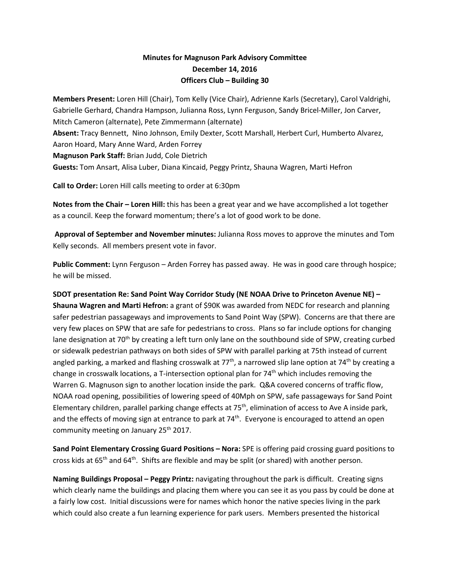## **Minutes for Magnuson Park Advisory Committee December 14, 2016 Officers Club – Building 30**

**Members Present:** Loren Hill (Chair), Tom Kelly (Vice Chair), Adrienne Karls (Secretary), Carol Valdrighi, Gabrielle Gerhard, Chandra Hampson, Julianna Ross, Lynn Ferguson, Sandy Bricel-Miller, Jon Carver, Mitch Cameron (alternate), Pete Zimmermann (alternate) **Absent:** Tracy Bennett, Nino Johnson, Emily Dexter, Scott Marshall, Herbert Curl, Humberto Alvarez, Aaron Hoard, Mary Anne Ward, Arden Forrey **Magnuson Park Staff:** Brian Judd, Cole Dietrich **Guests:** Tom Ansart, Alisa Luber, Diana Kincaid, Peggy Printz, Shauna Wagren, Marti Hefron

**Call to Order:** Loren Hill calls meeting to order at 6:30pm

**Notes from the Chair – Loren Hill:** this has been a great year and we have accomplished a lot together as a council. Keep the forward momentum; there's a lot of good work to be done.

**Approval of September and November minutes:** Julianna Ross moves to approve the minutes and Tom Kelly seconds. All members present vote in favor.

**Public Comment:** Lynn Ferguson – Arden Forrey has passed away. He was in good care through hospice; he will be missed.

## **SDOT presentation Re: Sand Point Way Corridor Study (NE NOAA Drive to Princeton Avenue NE) – Shauna Wagren and Marti Hefron:** a grant of \$90K was awarded from NEDC for research and planning safer pedestrian passageways and improvements to Sand Point Way (SPW). Concerns are that there are very few places on SPW that are safe for pedestrians to cross. Plans so far include options for changing lane designation at  $70<sup>th</sup>$  by creating a left turn only lane on the southbound side of SPW, creating curbed or sidewalk pedestrian pathways on both sides of SPW with parallel parking at 75th instead of current angled parking, a marked and flashing crosswalk at  $77<sup>th</sup>$ , a narrowed slip lane option at  $74<sup>th</sup>$  by creating a change in crosswalk locations, a T-intersection optional plan for  $74<sup>th</sup>$  which includes removing the Warren G. Magnuson sign to another location inside the park. Q&A covered concerns of traffic flow, NOAA road opening, possibilities of lowering speed of 40Mph on SPW, safe passageways for Sand Point Elementary children, parallel parking change effects at 75<sup>th</sup>, elimination of access to Ave A inside park, and the effects of moving sign at entrance to park at 74<sup>th</sup>. Everyone is encouraged to attend an open community meeting on January 25th 2017.

**Sand Point Elementary Crossing Guard Positions – Nora:** SPE is offering paid crossing guard positions to cross kids at  $65<sup>th</sup>$  and  $64<sup>th</sup>$ . Shifts are flexible and may be split (or shared) with another person.

**Naming Buildings Proposal – Peggy Printz:** navigating throughout the park is difficult. Creating signs which clearly name the buildings and placing them where you can see it as you pass by could be done at a fairly low cost. Initial discussions were for names which honor the native species living in the park which could also create a fun learning experience for park users. Members presented the historical